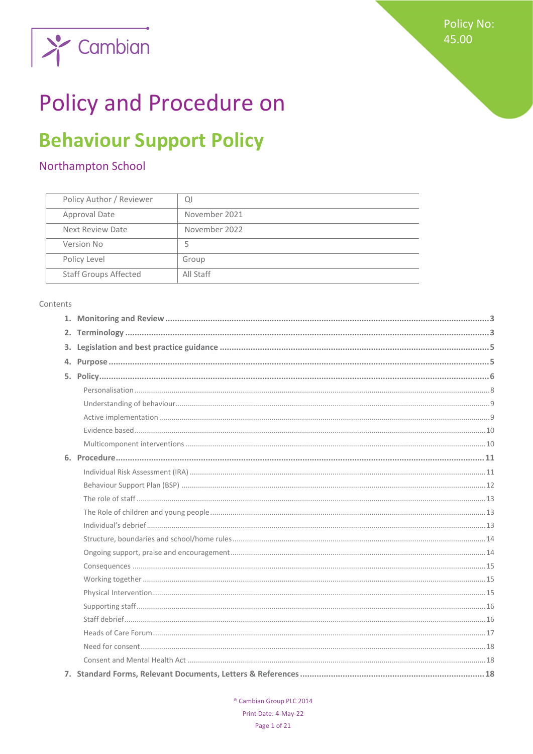

# **Policy and Procedure on**

## **Behaviour Support Policy**

## Northampton School

| Policy Author / Reviewer     | QI            |
|------------------------------|---------------|
| Approval Date                | November 2021 |
| Next Review Date             | November 2022 |
| Version No                   | Ь             |
| Policy Level                 | Group         |
| <b>Staff Groups Affected</b> | All Staff     |

#### Contents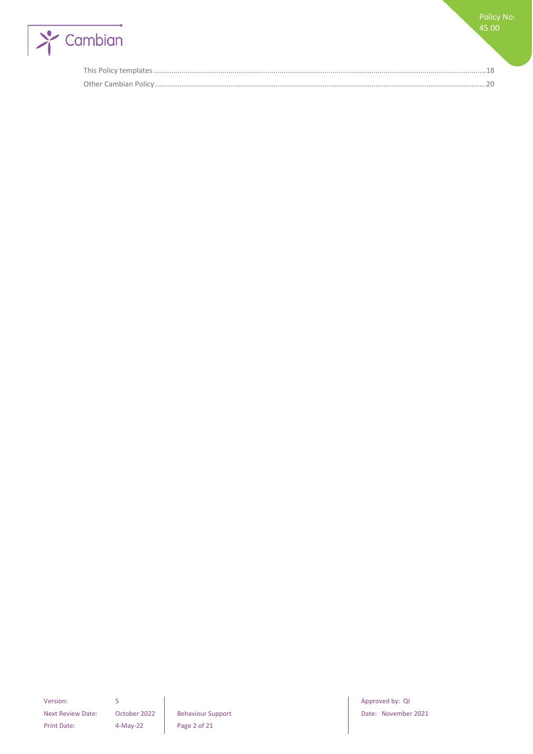

Policy No: 45.00

Next Review Date: October 2022 | Behaviour Support | Date: November 2021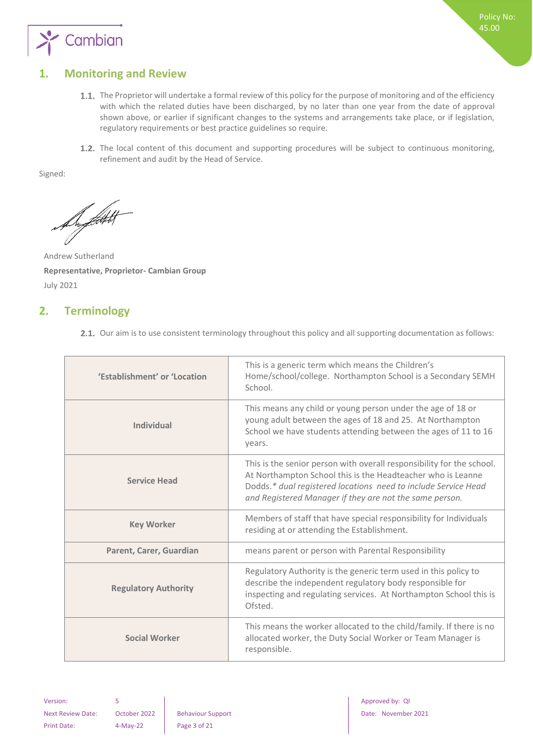

## <span id="page-2-0"></span>**1. Monitoring and Review**

- 1.1. The Proprietor will undertake a formal review of this policy for the purpose of monitoring and of the efficiency with which the related duties have been discharged, by no later than one year from the date of approval shown above, or earlier if significant changes to the systems and arrangements take place, or if legislation, regulatory requirements or best practice guidelines so require.
- 1.2. The local content of this document and supporting procedures will be subject to continuous monitoring, refinement and audit by the Head of Service.

Signed:

De filtet

Andrew Sutherland **Representative, Proprietor- Cambian Group** July 2021

## <span id="page-2-1"></span>**2. Terminology**

2.1. Our aim is to use consistent terminology throughout this policy and all supporting documentation as follows:

| 'Establishment' or 'Location | This is a generic term which means the Children's<br>Home/school/college. Northampton School is a Secondary SEMH<br>School.                                                                                                                                       |
|------------------------------|-------------------------------------------------------------------------------------------------------------------------------------------------------------------------------------------------------------------------------------------------------------------|
| Individual                   | This means any child or young person under the age of 18 or<br>young adult between the ages of 18 and 25. At Northampton<br>School we have students attending between the ages of 11 to 16<br>years.                                                              |
| <b>Service Head</b>          | This is the senior person with overall responsibility for the school.<br>At Northampton School this is the Headteacher who is Leanne<br>Dodds.* dual registered locations need to include Service Head<br>and Registered Manager if they are not the same person. |
| <b>Key Worker</b>            | Members of staff that have special responsibility for Individuals<br>residing at or attending the Establishment.                                                                                                                                                  |
| Parent, Carer, Guardian      | means parent or person with Parental Responsibility                                                                                                                                                                                                               |
| <b>Regulatory Authority</b>  | Regulatory Authority is the generic term used in this policy to<br>describe the independent regulatory body responsible for<br>inspecting and regulating services. At Northampton School this is<br>Ofsted.                                                       |
| <b>Social Worker</b>         | This means the worker allocated to the child/family. If there is no<br>allocated worker, the Duty Social Worker or Team Manager is<br>responsible.                                                                                                                |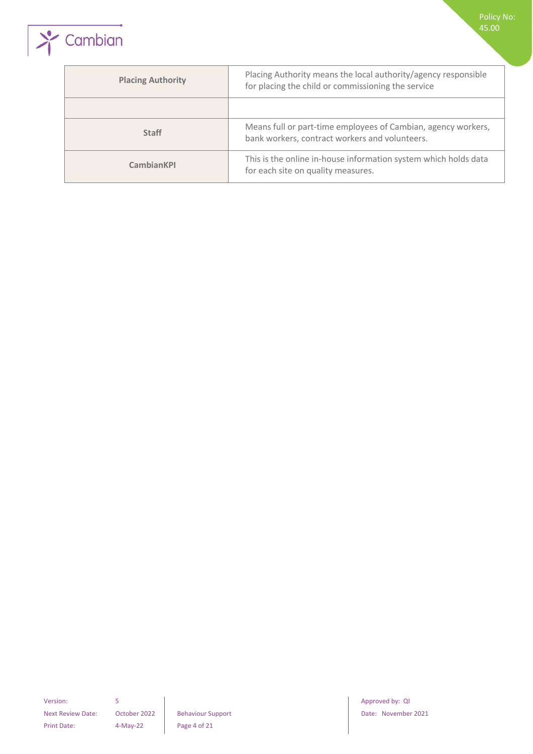

| <b>Placing Authority</b> | Placing Authority means the local authority/agency responsible<br>for placing the child or commissioning the service |
|--------------------------|----------------------------------------------------------------------------------------------------------------------|
|                          |                                                                                                                      |
| <b>Staff</b>             | Means full or part-time employees of Cambian, agency workers,<br>bank workers, contract workers and volunteers.      |
| <b>CambianKPI</b>        | This is the online in-house information system which holds data<br>for each site on quality measures.                |

Next Review Date: October 2022 Behaviour Support Date: November 2021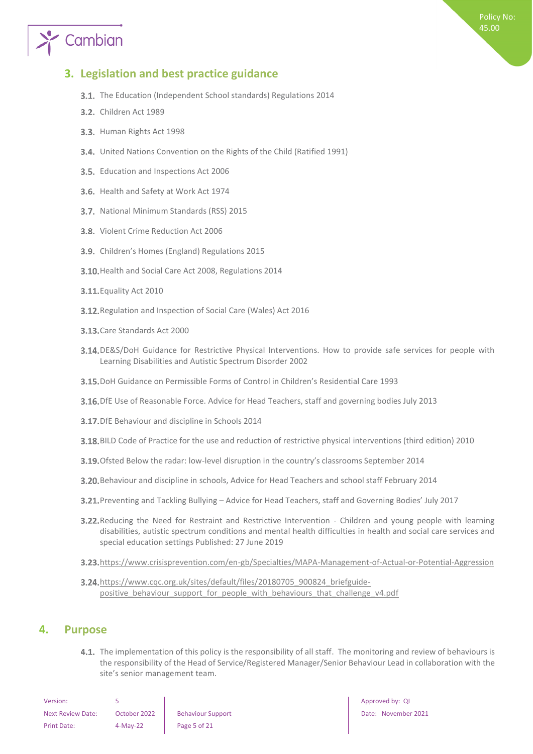# Cambian

## <span id="page-4-0"></span>**3. Legislation and best practice guidance**

- **3.1.** The Education (Independent School standards) Regulations 2014
- **3.2.** Children Act 1989
- 3.3. Human Rights Act 1998
- United Nations Convention on the Rights of the Child (Ratified 1991)
- 3.5. Education and Inspections Act 2006
- 3.6. Health and Safety at Work Act 1974
- 3.7. National Minimum Standards (RSS) 2015
- 3.8. Violent Crime Reduction Act 2006
- 3.9. Children's Homes (England) Regulations 2015
- 3.10. Health and Social Care Act 2008, Regulations 2014
- **3.11.** Equality Act 2010
- 3.12. Regulation and Inspection of Social Care (Wales) Act 2016
- 3.13. Care Standards Act 2000
- 3.14. DE&S/DoH Guidance for Restrictive Physical Interventions. How to provide safe services for people with Learning Disabilities and Autistic Spectrum Disorder 2002
- DoH Guidance on Permissible Forms of Control in Children's Residential Care 1993
- 3.16. DfE Use of Reasonable Force. Advice for Head Teachers, staff and governing bodies July 2013
- **3.17.** DfE Behaviour and discipline in Schools 2014
- BILD Code of Practice for the use and reduction of restrictive physical interventions (third edition) 2010
- 3.19. Ofsted Below the radar: low-level disruption in the country's classrooms September 2014
- Behaviour and discipline in schools, Advice for Head Teachers and school staff February 2014
- Preventing and Tackling Bullying Advice for Head Teachers, staff and Governing Bodies' July 2017
- 3.22. Reducing the Need for Restraint and Restrictive Intervention Children and young people with learning disabilities, autistic spectrum conditions and mental health difficulties in health and social care services and special education settings Published: 27 June 2019
- 3.23. <https://www.crisisprevention.com/en-gb/Specialties/MAPA-Management-of-Actual-or-Potential-Aggression>
- 3.24. [https://www.cqc.org.uk/sites/default/files/20180705\\_900824\\_briefguide](https://www.cqc.org.uk/sites/default/files/20180705_900824_briefguide-positive_behaviour_support_for_people_with_behaviours_that_challenge_v4.pdf)positive behaviour support for people with behaviours that challenge v4.pdf

### <span id="page-4-1"></span>**4. Purpose**

4.1. The implementation of this policy is the responsibility of all staff. The monitoring and review of behaviours is the responsibility of the Head of Service/Registered Manager/Senior Behaviour Lead in collaboration with the site's senior management team.

| Version:                 |              |                          |
|--------------------------|--------------|--------------------------|
| <b>Next Review Date:</b> | October 2022 | <b>Behaviour Support</b> |
| Print Date:              | $4-Mav-22$   | Page 5 of 21             |

Approved by: QI Date: November 2021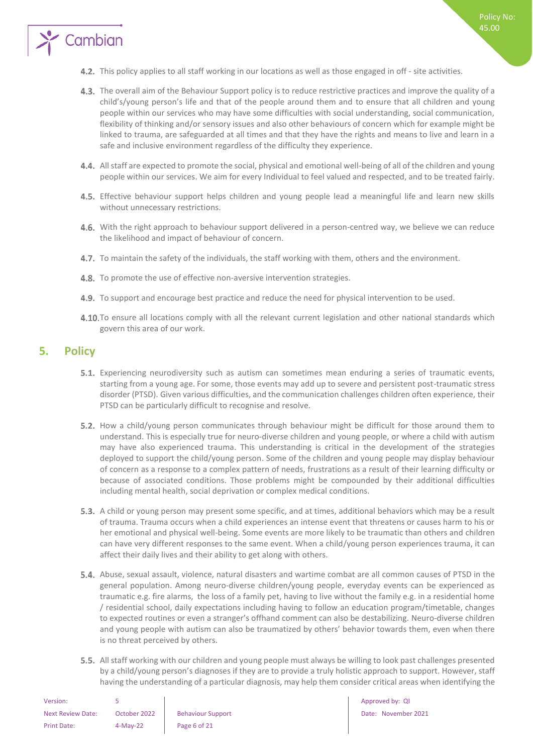

- 4.3. The overall aim of the Behaviour Support policy is to reduce restrictive practices and improve the quality of a child's/young person's life and that of the people around them and to ensure that all children and young people within our services who may have some difficulties with social understanding, social communication, flexibility of thinking and/or sensory issues and also other behaviours of concern which for example might be linked to trauma, are safeguarded at all times and that they have the rights and means to live and learn in a safe and inclusive environment regardless of the difficulty they experience.
- All staff are expected to promote the social, physical and emotional well-being of all of the children and young people within our services. We aim for every Individual to feel valued and respected, and to be treated fairly.
- 4.5. Effective behaviour support helps children and young people lead a meaningful life and learn new skills without unnecessary restrictions.
- 4.6. With the right approach to behaviour support delivered in a person-centred way, we believe we can reduce the likelihood and impact of behaviour of concern.
- 4.7. To maintain the safety of the individuals, the staff working with them, others and the environment.
- 4.8. To promote the use of effective non-aversive intervention strategies.
- 4.9. To support and encourage best practice and reduce the need for physical intervention to be used.
- 4.10. To ensure all locations comply with all the relevant current legislation and other national standards which govern this area of our work.

## <span id="page-5-0"></span>**5. Policy**

Cambian

- 5.1. Experiencing neurodiversity such as autism can sometimes mean enduring a series of traumatic events, starting from a young age. For some, those events may add up to severe and persistent post-traumatic stress disorder (PTSD). Given various difficulties, and the communication challenges children often experience, their PTSD can be particularly difficult to recognise and resolve.
- 5.2. How a child/young person communicates through behaviour might be difficult for those around them to understand. This is especially true for neuro-diverse children and young people, or where a child with autism may have also experienced trauma. This understanding is critical in the development of the strategies deployed to support the child/young person. Some of the children and young people may display behaviour of concern as a response to a complex pattern of needs, frustrations as a result of their learning difficulty or because of associated conditions. Those problems might be compounded by their additional difficulties including mental health, social deprivation or complex medical conditions.
- 5.3. A child or young person may present some specific, and at times, additional behaviors which may be a result of trauma. Trauma occurs when a child experiences an intense event that threatens or causes harm to his or her emotional and physical well-being. Some events are more likely to be traumatic than others and children can have very different responses to the same event. When a child/young person experiences trauma, it can affect their daily lives and their ability to get along with others.
- 5.4. Abuse, sexual assault, violence, natural disasters and wartime combat are all common causes of PTSD in the general population. Among neuro-diverse children/young people, everyday events can be experienced as traumatic e.g. fire alarms, the loss of a family pet, having to live without the family e.g. in a residential home / residential school, daily expectations including having to follow an education program/timetable, changes to expected routines or even a stranger's offhand comment can also be destabilizing. Neuro-diverse children and young people with autism can also be traumatized by others' behavior towards them, even when there is no threat perceived by others.
- 5.5. All staff working with our children and young people must always be willing to look past challenges presented by a child/young person's diagnoses if they are to provide a truly holistic approach to support. However, staff having the understanding of a particular diagnosis, may help them consider critical areas when identifying the

| Version:           |              |                          |
|--------------------|--------------|--------------------------|
| Next Review Date:  | October 2022 | <b>Behaviour Support</b> |
| <b>Print Date:</b> | $4-Mav-22$   | Page 6 of 21             |

Approved by: QI Next Review Date: October 2022 Behaviour Support Date: November 2021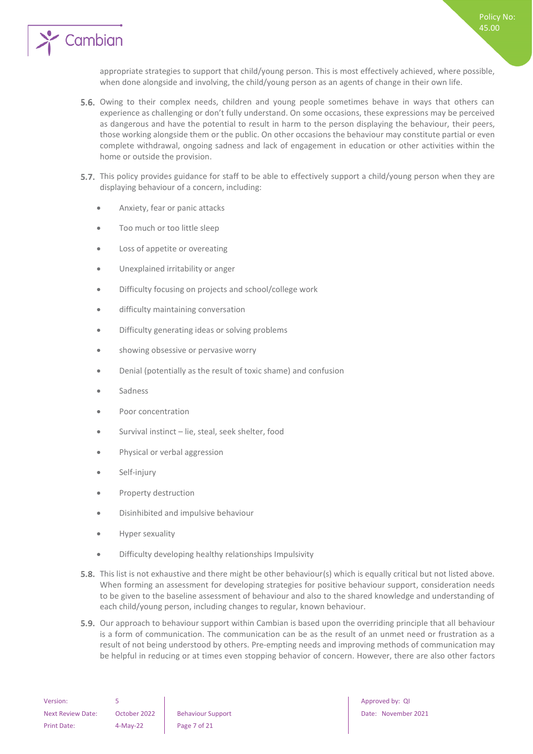

appropriate strategies to support that child/young person. This is most effectively achieved, where possible, when done alongside and involving, the child/young person as an agents of change in their own life.

- 5.6. Owing to their complex needs, children and young people sometimes behave in ways that others can experience as challenging or don't fully understand. On some occasions, these expressions may be perceived as dangerous and have the potential to result in harm to the person displaying the behaviour, their peers, those working alongside them or the public. On other occasions the behaviour may constitute partial or even complete withdrawal, ongoing sadness and lack of engagement in education or other activities within the home or outside the provision.
- 5.7. This policy provides guidance for staff to be able to effectively support a child/young person when they are displaying behaviour of a concern, including:
	- Anxiety, fear or panic attacks
	- Too much or too little sleep
	- Loss of appetite or overeating
	- Unexplained irritability or anger
	- Difficulty focusing on projects and school/college work
	- difficulty maintaining conversation
	- Difficulty generating ideas or solving problems
	- showing obsessive or pervasive worry
	- Denial (potentially as the result of toxic shame) and confusion
	- **Sadness**
	- Poor concentration
	- Survival instinct lie, steal, seek shelter, food
	- Physical or verbal aggression
	- Self-injury
	- Property destruction
	- Disinhibited and impulsive behaviour
	- Hyper sexuality
	- Difficulty developing healthy relationships Impulsivity
- **5.8.** This list is not exhaustive and there might be other behaviour(s) which is equally critical but not listed above. When forming an assessment for developing strategies for positive behaviour support, consideration needs to be given to the baseline assessment of behaviour and also to the shared knowledge and understanding of each child/young person, including changes to regular, known behaviour.
- **5.9.** Our approach to behaviour support within Cambian is based upon the overriding principle that all behaviour is a form of communication. The communication can be as the result of an unmet need or frustration as a result of not being understood by others. Pre-empting needs and improving methods of communication may be helpful in reducing or at times even stopping behavior of concern. However, there are also other factors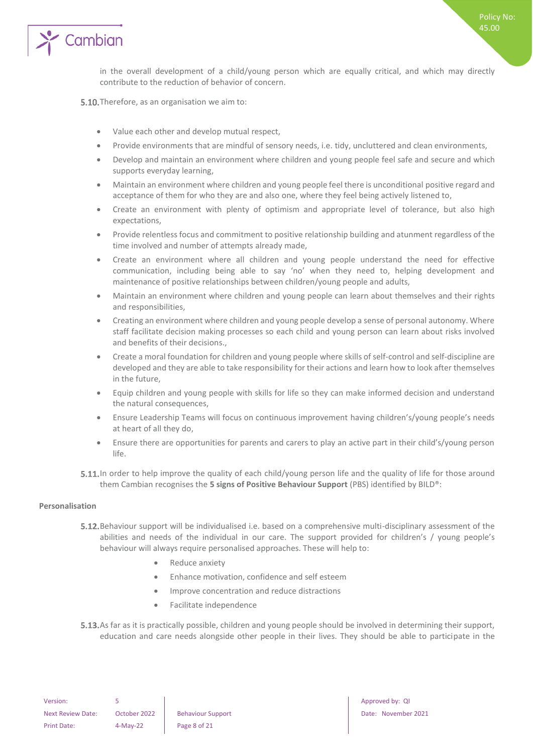

in the overall development of a child/young person which are equally critical, and which may directly contribute to the reduction of behavior of concern.

5.10. Therefore, as an organisation we aim to:

- Value each other and develop mutual respect,
- Provide environments that are mindful of sensory needs, i.e. tidy, uncluttered and clean environments,
- Develop and maintain an environment where children and young people feel safe and secure and which supports everyday learning,
- Maintain an environment where children and young people feel there is unconditional positive regard and acceptance of them for who they are and also one, where they feel being actively listened to,
- Create an environment with plenty of optimism and appropriate level of tolerance, but also high expectations,
- Provide relentless focus and commitment to positive relationship building and atunment regardless of the time involved and number of attempts already made,
- Create an environment where all children and young people understand the need for effective communication, including being able to say 'no' when they need to, helping development and maintenance of positive relationships between children/young people and adults,
- Maintain an environment where children and young people can learn about themselves and their rights and responsibilities,
- Creating an environment where children and young people develop a sense of personal autonomy. Where staff facilitate decision making processes so each child and young person can learn about risks involved and benefits of their decisions.,
- Create a moral foundation for children and young people where skills of self-control and self-discipline are developed and they are able to take responsibility for their actions and learn how to look after themselves in the future,
- Equip children and young people with skills for life so they can make informed decision and understand the natural consequences,
- Ensure Leadership Teams will focus on continuous improvement having children's/young people's needs at heart of all they do,
- Ensure there are opportunities for parents and carers to play an active part in their child's/young person life.
- 5.11. In order to help improve the quality of each child/young person life and the quality of life for those around them Cambian recognises the **5 signs of Positive Behaviour Support** (PBS) identified by BILD®:

#### <span id="page-7-0"></span>**Personalisation**

- **5.12.** Behaviour support will be individualised i.e. based on a comprehensive multi-disciplinary assessment of the abilities and needs of the individual in our care. The support provided for children's / young people's behaviour will always require personalised approaches. These will help to:
	- Reduce anxiety
	- Enhance motivation, confidence and self esteem
	- Improve concentration and reduce distractions
	- Facilitate independence
- 5.13. As far as it is practically possible, children and young people should be involved in determining their support, education and care needs alongside other people in their lives. They should be able to participate in the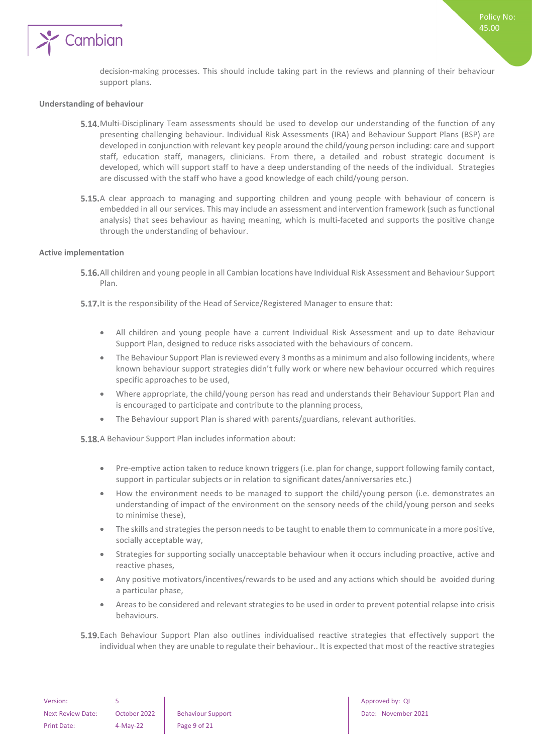

Policy No: 45.00

#### <span id="page-8-0"></span>**Understanding of behaviour**

- 5.14. Multi-Disciplinary Team assessments should be used to develop our understanding of the function of any presenting challenging behaviour. Individual Risk Assessments (IRA) and Behaviour Support Plans (BSP) are developed in conjunction with relevant key people around the child/young person including: care and support staff, education staff, managers, clinicians. From there, a detailed and robust strategic document is developed, which will support staff to have a deep understanding of the needs of the individual. Strategies are discussed with the staff who have a good knowledge of each child/young person.
- 5.15.A clear approach to managing and supporting children and young people with behaviour of concern is embedded in all our services. This may include an assessment and intervention framework (such as functional analysis) that sees behaviour as having meaning, which is multi-faceted and supports the positive change through the understanding of behaviour.

#### <span id="page-8-1"></span>**Active implementation**

- All children and young people in all Cambian locations have Individual Risk Assessment and Behaviour Support Plan.
- 5.17. It is the responsibility of the Head of Service/Registered Manager to ensure that:
	- All children and young people have a current Individual Risk Assessment and up to date Behaviour Support Plan, designed to reduce risks associated with the behaviours of concern.
	- The Behaviour Support Plan is reviewed every 3 months as a minimum and also following incidents, where known behaviour support strategies didn't fully work or where new behaviour occurred which requires specific approaches to be used,
	- Where appropriate, the child/young person has read and understands their Behaviour Support Plan and is encouraged to participate and contribute to the planning process,
	- The Behaviour support Plan is shared with parents/guardians, relevant authorities.

5.18. A Behaviour Support Plan includes information about:

- Pre-emptive action taken to reduce known triggers (i.e. plan for change, support following family contact, support in particular subjects or in relation to significant dates/anniversaries etc.)
- How the environment needs to be managed to support the child/young person (i.e. demonstrates an understanding of impact of the environment on the sensory needs of the child/young person and seeks to minimise these),
- The skills and strategies the person needs to be taught to enable them to communicate in a more positive, socially acceptable way,
- Strategies for supporting socially unacceptable behaviour when it occurs including proactive, active and reactive phases,
- Any positive motivators/incentives/rewards to be used and any actions which should be avoided during a particular phase,
- Areas to be considered and relevant strategies to be used in order to prevent potential relapse into crisis behaviours.
- Each Behaviour Support Plan also outlines individualised reactive strategies that effectively support the individual when they are unable to regulate their behaviour.. It is expected that most of the reactive strategies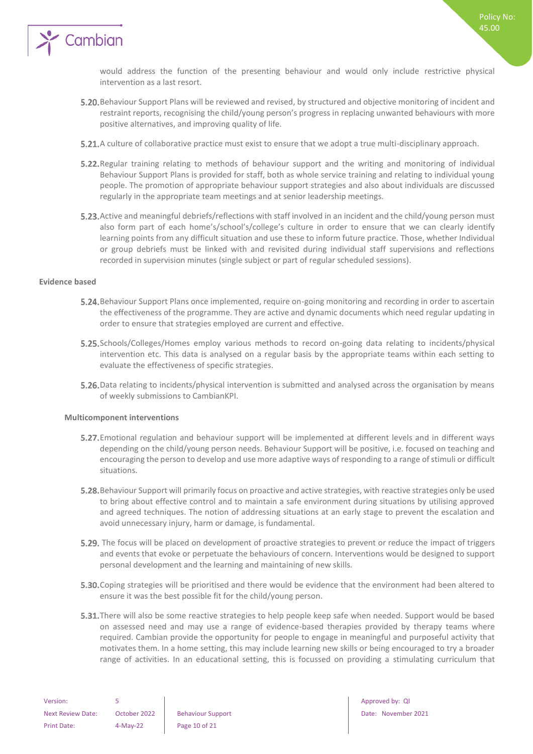

would address the function of the presenting behaviour and would only include restrictive physical intervention as a last resort.

Policy No: 45.00

- Behaviour Support Plans will be reviewed and revised, by structured and objective monitoring of incident and restraint reports, recognising the child/young person's progress in replacing unwanted behaviours with more positive alternatives, and improving quality of life.
- **5.21.** A culture of collaborative practice must exist to ensure that we adopt a true multi-disciplinary approach.
- **5.22.** Regular training relating to methods of behaviour support and the writing and monitoring of individual Behaviour Support Plans is provided for staff, both as whole service training and relating to individual young people. The promotion of appropriate behaviour support strategies and also about individuals are discussed regularly in the appropriate team meetings and at senior leadership meetings.
- 5.23. Active and meaningful debriefs/reflections with staff involved in an incident and the child/young person must also form part of each home's/school's/college's culture in order to ensure that we can clearly identify learning points from any difficult situation and use these to inform future practice. Those, whether Individual or group debriefs must be linked with and revisited during individual staff supervisions and reflections recorded in supervision minutes (single subject or part of regular scheduled sessions).

#### <span id="page-9-0"></span>**Evidence based**

- **5.24.** Behaviour Support Plans once implemented, require on-going monitoring and recording in order to ascertain the effectiveness of the programme. They are active and dynamic documents which need regular updating in order to ensure that strategies employed are current and effective.
- 5.25. Schools/Colleges/Homes employ various methods to record on-going data relating to incidents/physical intervention etc. This data is analysed on a regular basis by the appropriate teams within each setting to evaluate the effectiveness of specific strategies.
- 5.26. Data relating to incidents/physical intervention is submitted and analysed across the organisation by means of weekly submissions to CambianKPI.

#### <span id="page-9-1"></span>**Multicomponent interventions**

- **5.27.** Emotional regulation and behaviour support will be implemented at different levels and in different ways depending on the child/young person needs. Behaviour Support will be positive, i.e. focused on teaching and encouraging the person to develop and use more adaptive ways of responding to a range of stimuli or difficult situations.
- 5.28. Behaviour Support will primarily focus on proactive and active strategies, with reactive strategies only be used to bring about effective control and to maintain a safe environment during situations by utilising approved and agreed techniques. The notion of addressing situations at an early stage to prevent the escalation and avoid unnecessary injury, harm or damage, is fundamental.
- 5.29. The focus will be placed on development of proactive strategies to prevent or reduce the impact of triggers and events that evoke or perpetuate the behaviours of concern. Interventions would be designed to support personal development and the learning and maintaining of new skills.
- **5.30.** Coping strategies will be prioritised and there would be evidence that the environment had been altered to ensure it was the best possible fit for the child/young person.
- **5.31.** There will also be some reactive strategies to help people keep safe when needed. Support would be based on assessed need and may use a range of evidence-based therapies provided by therapy teams where required. Cambian provide the opportunity for people to engage in meaningful and purposeful activity that motivates them. In a home setting, this may include learning new skills or being encouraged to try a broader range of activities. In an educational setting, this is focussed on providing a stimulating curriculum that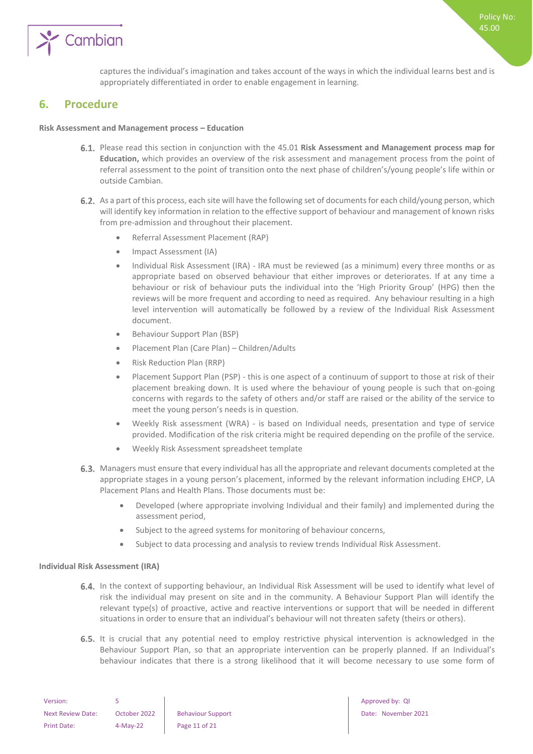

captures the individual's imagination and takes account of the ways in which the individual learns best and is appropriately differentiated in order to enable engagement in learning.

## <span id="page-10-0"></span>**6. Procedure**

#### **Risk Assessment and Management process – Education**

- Please read this section in conjunction with the 45.01 **Risk Assessment and Management process map for Education,** which provides an overview of the risk assessment and management process from the point of referral assessment to the point of transition onto the next phase of children's/young people's life within or outside Cambian.
- 6.2. As a part of this process, each site will have the following set of documents for each child/young person, which will identify key information in relation to the effective support of behaviour and management of known risks from pre-admission and throughout their placement.
	- Referral Assessment Placement (RAP)
	- Impact Assessment (IA)
	- Individual Risk Assessment (IRA) IRA must be reviewed (as a minimum) every three months or as appropriate based on observed behaviour that either improves or deteriorates. If at any time a behaviour or risk of behaviour puts the individual into the 'High Priority Group' (HPG) then the reviews will be more frequent and according to need as required. Any behaviour resulting in a high level intervention will automatically be followed by a review of the Individual Risk Assessment document.
	- Behaviour Support Plan (BSP)
	- Placement Plan (Care Plan) Children/Adults
	- Risk Reduction Plan (RRP)
	- Placement Support Plan (PSP) this is one aspect of a continuum of support to those at risk of their placement breaking down. It is used where the behaviour of young people is such that on-going concerns with regards to the safety of others and/or staff are raised or the ability of the service to meet the young person's needs is in question.
	- Weekly Risk assessment (WRA) is based on Individual needs, presentation and type of service provided. Modification of the risk criteria might be required depending on the profile of the service.
	- Weekly Risk Assessment spreadsheet template
- 6.3. Managers must ensure that every individual has all the appropriate and relevant documents completed at the appropriate stages in a young person's placement, informed by the relevant information including EHCP, LA Placement Plans and Health Plans. Those documents must be:
	- Developed (where appropriate involving Individual and their family) and implemented during the assessment period,
	- Subject to the agreed systems for monitoring of behaviour concerns,
	- Subject to data processing and analysis to review trends Individual Risk Assessment.

#### <span id="page-10-1"></span>**Individual Risk Assessment (IRA)**

- 6.4. In the context of supporting behaviour, an Individual Risk Assessment will be used to identify what level of risk the individual may present on site and in the community. A Behaviour Support Plan will identify the relevant type(s) of proactive, active and reactive interventions or support that will be needed in different situations in order to ensure that an individual's behaviour will not threaten safety (theirs or others).
- 6.5. It is crucial that any potential need to employ restrictive physical intervention is acknowledged in the Behaviour Support Plan, so that an appropriate intervention can be properly planned. If an Individual's behaviour indicates that there is a strong likelihood that it will become necessary to use some form of

| Version:                 |              |                          |
|--------------------------|--------------|--------------------------|
| <b>Next Review Date:</b> | October 2022 | <b>Behaviour Support</b> |
| Print Date:              | $4-May-22$   | Page 11 of 21            |

Approved by: QI Date: November 2021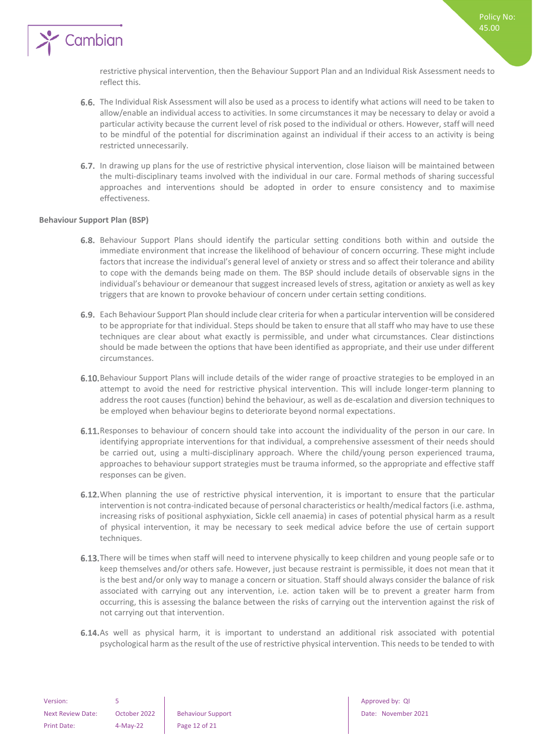

restrictive physical intervention, then the Behaviour Support Plan and an Individual Risk Assessment needs to reflect this.

- 6.6. The Individual Risk Assessment will also be used as a process to identify what actions will need to be taken to allow/enable an individual access to activities. In some circumstances it may be necessary to delay or avoid a particular activity because the current level of risk posed to the individual or others. However, staff will need to be mindful of the potential for discrimination against an individual if their access to an activity is being restricted unnecessarily.
- 6.7. In drawing up plans for the use of restrictive physical intervention, close liaison will be maintained between the multi-disciplinary teams involved with the individual in our care. Formal methods of sharing successful approaches and interventions should be adopted in order to ensure consistency and to maximise effectiveness.

#### <span id="page-11-0"></span>**Behaviour Support Plan (BSP)**

- 6.8. Behaviour Support Plans should identify the particular setting conditions both within and outside the immediate environment that increase the likelihood of behaviour of concern occurring. These might include factors that increase the individual's general level of anxiety or stress and so affect their tolerance and ability to cope with the demands being made on them. The BSP should include details of observable signs in the individual's behaviour or demeanour that suggest increased levels of stress, agitation or anxiety as well as key triggers that are known to provoke behaviour of concern under certain setting conditions.
- Each Behaviour Support Plan should include clear criteria for when a particular intervention will be considered to be appropriate for that individual. Steps should be taken to ensure that all staff who may have to use these techniques are clear about what exactly is permissible, and under what circumstances. Clear distinctions should be made between the options that have been identified as appropriate, and their use under different circumstances.
- 6.10. Behaviour Support Plans will include details of the wider range of proactive strategies to be employed in an attempt to avoid the need for restrictive physical intervention. This will include longer-term planning to address the root causes (function) behind the behaviour, as well as de-escalation and diversion techniques to be employed when behaviour begins to deteriorate beyond normal expectations.
- 6.11. Responses to behaviour of concern should take into account the individuality of the person in our care. In identifying appropriate interventions for that individual, a comprehensive assessment of their needs should be carried out, using a multi-disciplinary approach. Where the child/young person experienced trauma, approaches to behaviour support strategies must be trauma informed, so the appropriate and effective staff responses can be given.
- 6.12. When planning the use of restrictive physical intervention, it is important to ensure that the particular intervention is not contra-indicated because of personal characteristics or health/medical factors (i.e. asthma, increasing risks of positional asphyxiation, Sickle cell anaemia) in cases of potential physical harm as a result of physical intervention, it may be necessary to seek medical advice before the use of certain support techniques.
- **6.13.** There will be times when staff will need to intervene physically to keep children and young people safe or to keep themselves and/or others safe. However, just because restraint is permissible, it does not mean that it is the best and/or only way to manage a concern or situation. Staff should always consider the balance of risk associated with carrying out any intervention, i.e. action taken will be to prevent a greater harm from occurring, this is assessing the balance between the risks of carrying out the intervention against the risk of not carrying out that intervention.
- 6.14. As well as physical harm, it is important to understand an additional risk associated with potential psychological harm as the result of the use of restrictive physical intervention. This needs to be tended to with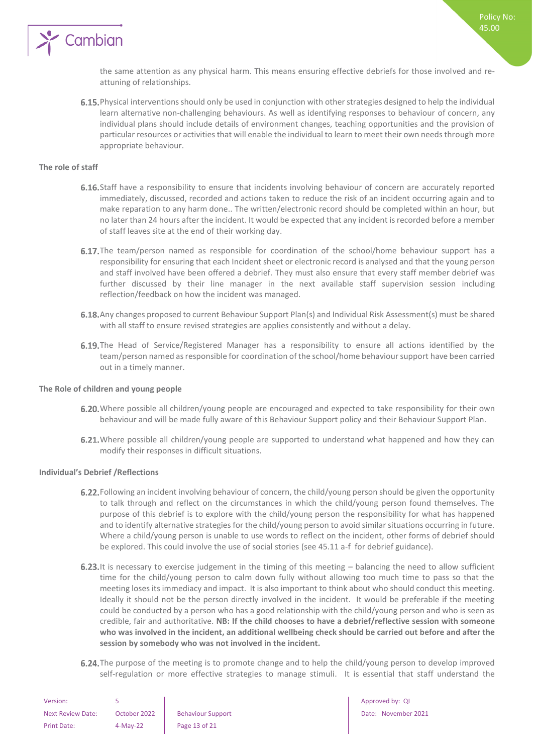

the same attention as any physical harm. This means ensuring effective debriefs for those involved and reattuning of relationships.

6.15. Physical interventions should only be used in conjunction with other strategies designed to help the individual learn alternative non-challenging behaviours. As well as identifying responses to behaviour of concern, any individual plans should include details of environment changes, teaching opportunities and the provision of particular resources or activities that will enable the individual to learn to meet their own needs through more appropriate behaviour.

#### <span id="page-12-0"></span>**The role of staff**

- 6.16. Staff have a responsibility to ensure that incidents involving behaviour of concern are accurately reported immediately, discussed, recorded and actions taken to reduce the risk of an incident occurring again and to make reparation to any harm done.. The written/electronic record should be completed within an hour, but no later than 24 hours after the incident. It would be expected that any incident is recorded before a member of staff leaves site at the end of their working day.
- **6.17.** The team/person named as responsible for coordination of the school/home behaviour support has a responsibility for ensuring that each Incident sheet or electronic record is analysed and that the young person and staff involved have been offered a debrief. They must also ensure that every staff member debrief was further discussed by their line manager in the next available staff supervision session including reflection/feedback on how the incident was managed.
- 6.18. Any changes proposed to current Behaviour Support Plan(s) and Individual Risk Assessment(s) must be shared with all staff to ensure revised strategies are applies consistently and without a delay.
- 6.19. The Head of Service/Registered Manager has a responsibility to ensure all actions identified by the team/person named as responsible for coordination of the school/home behaviour support have been carried out in a timely manner.

#### <span id="page-12-1"></span>**The Role of children and young people**

- 6.20. Where possible all children/young people are encouraged and expected to take responsibility for their own behaviour and will be made fully aware of this Behaviour Support policy and their Behaviour Support Plan.
- 6.21. Where possible all children/young people are supported to understand what happened and how they can modify their responses in difficult situations.

#### <span id="page-12-2"></span>**Individual's Debrief /Reflections**

- 6.22. Following an incident involving behaviour of concern, the child/young person should be given the opportunity to talk through and reflect on the circumstances in which the child/young person found themselves. The purpose of this debrief is to explore with the child/young person the responsibility for what has happened and to identify alternative strategies for the child/young person to avoid similar situations occurring in future. Where a child/young person is unable to use words to reflect on the incident, other forms of debrief should be explored. This could involve the use of social stories (see 45.11 a-f for debrief guidance).
- 6.23. It is necessary to exercise judgement in the timing of this meeting  $-$  balancing the need to allow sufficient time for the child/young person to calm down fully without allowing too much time to pass so that the meeting loses its immediacy and impact. It is also important to think about who should conduct this meeting. Ideally it should not be the person directly involved in the incident. It would be preferable if the meeting could be conducted by a person who has a good relationship with the child/young person and who is seen as credible, fair and authoritative. **NB: If the child chooses to have a debrief/reflective session with someone who was involved in the incident, an additional wellbeing check should be carried out before and after the session by somebody who was not involved in the incident.**
- 6.24. The purpose of the meeting is to promote change and to help the child/young person to develop improved self-regulation or more effective strategies to manage stimuli. It is essential that staff understand the

| Version:                 |              |                          |
|--------------------------|--------------|--------------------------|
| <b>Next Review Date:</b> | October 2022 | <b>Behaviour Support</b> |
| <b>Print Date:</b>       | $4-Mav-22$   | Page 13 of 21            |

Approved by: QI Date: November 2021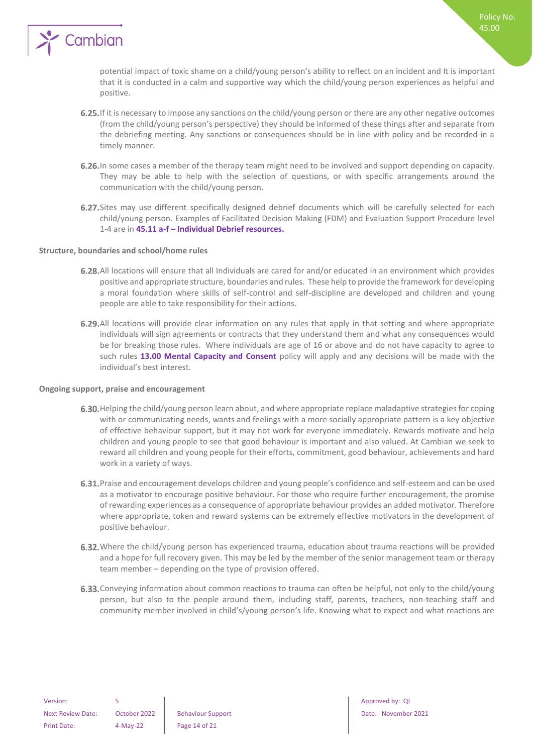

potential impact of toxic shame on a child/young person's ability to reflect on an incident and It is important that it is conducted in a calm and supportive way which the child/young person experiences as helpful and positive.

- 6.25. If it is necessary to impose any sanctions on the child/young person or there are any other negative outcomes (from the child/young person's perspective) they should be informed of these things after and separate from the debriefing meeting. Any sanctions or consequences should be in line with policy and be recorded in a timely manner.
- 6.26. In some cases a member of the therapy team might need to be involved and support depending on capacity. They may be able to help with the selection of questions, or with specific arrangements around the communication with the child/young person.
- 6.27. Sites may use different specifically designed debrief documents which will be carefully selected for each child/young person. Examples of Facilitated Decision Making (FDM) and Evaluation Support Procedure level 1-4 are in **45.11 a-f – Individual Debrief resources.**

#### <span id="page-13-0"></span>**Structure, boundaries and school/home rules**

- All locations will ensure that all Individuals are cared for and/or educated in an environment which provides positive and appropriate structure, boundaries and rules. These help to provide the framework for developing a moral foundation where skills of self-control and self-discipline are developed and children and young people are able to take responsibility for their actions.
- 6.29. All locations will provide clear information on any rules that apply in that setting and where appropriate individuals will sign agreements or contracts that they understand them and what any consequences would be for breaking those rules. Where individuals are age of 16 or above and do not have capacity to agree to such rules **13.00 Mental Capacity and Consent** policy will apply and any decisions will be made with the individual's best interest.

#### <span id="page-13-1"></span>**Ongoing support, praise and encouragement**

- 6.30. Helping the child/young person learn about, and where appropriate replace maladaptive strategies for coping with or communicating needs, wants and feelings with a more socially appropriate pattern is a key objective of effective behaviour support, but it may not work for everyone immediately. Rewards motivate and help children and young people to see that good behaviour is important and also valued. At Cambian we seek to reward all children and young people for their efforts, commitment, good behaviour, achievements and hard work in a variety of ways.
- 6.31. Praise and encouragement develops children and young people's confidence and self-esteem and can be used as a motivator to encourage positive behaviour. For those who require further encouragement, the promise of rewarding experiences as a consequence of appropriate behaviour provides an added motivator. Therefore where appropriate, token and reward systems can be extremely effective motivators in the development of positive behaviour.
- 6.32. Where the child/young person has experienced trauma, education about trauma reactions will be provided and a hope for full recovery given. This may be led by the member of the senior management team or therapy team member – depending on the type of provision offered.
- 6.33. Conveying information about common reactions to trauma can often be helpful, not only to the child/young person, but also to the people around them, including staff, parents, teachers, non-teaching staff and community member involved in child's/young person's life. Knowing what to expect and what reactions are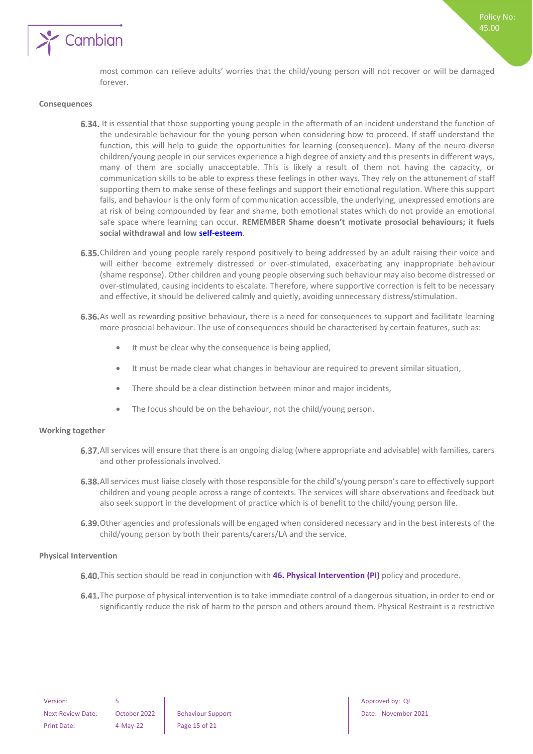

most common can relieve adults' worries that the child/young person will not recover or will be damaged forever.

#### <span id="page-14-0"></span>**Consequences**

- 6.34. It is essential that those supporting young people in the aftermath of an incident understand the function of the undesirable behaviour for the young person when considering how to proceed. If staff understand the function, this will help to guide the opportunities for learning (consequence). Many of the neuro-diverse children/young people in our services experience a high degree of anxiety and this presents in different ways, many of them are socially unacceptable. This is likely a result of them not having the capacity, or communication skills to be able to express these feelings in other ways. They rely on the attunement of staff supporting them to make sense of these feelings and support their emotional regulation. Where this support fails, and behaviour is the only form of communication accessible, the underlying, unexpressed emotions are at risk of being compounded by fear and shame, both emotional states which do not provide an emotional safe space where learning can occur. **REMEMBER Shame doesn't motivate prosocial behaviours; it fuels social withdrawal and low [self-esteem](https://www.psychologytoday.com/us/basics/self-esteem)**.
- 6.35. Children and young people rarely respond positively to being addressed by an adult raising their voice and will either become extremely distressed or over-stimulated, exacerbating any inappropriate behaviour (shame response). Other children and young people observing such behaviour may also become distressed or over-stimulated, causing incidents to escalate. Therefore, where supportive correction is felt to be necessary and effective, it should be delivered calmly and quietly, avoiding unnecessary distress/stimulation.
- 6.36. As well as rewarding positive behaviour, there is a need for consequences to support and facilitate learning more prosocial behaviour. The use of consequences should be characterised by certain features, such as:
	- It must be clear why the consequence is being applied,
	- It must be made clear what changes in behaviour are required to prevent similar situation,
	- There should be a clear distinction between minor and major incidents,
	- The focus should be on the behaviour, not the child/young person.

#### <span id="page-14-1"></span>**Working together**

- 6.37. All services will ensure that there is an ongoing dialog (where appropriate and advisable) with families, carers and other professionals involved.
- 6.38. All services must liaise closely with those responsible for the child's/young person's care to effectively support children and young people across a range of contexts. The services will share observations and feedback but also seek support in the development of practice which is of benefit to the child/young person life.
- 6.39. Other agencies and professionals will be engaged when considered necessary and in the best interests of the child/young person by both their parents/carers/LA and the service.

#### <span id="page-14-2"></span>**Physical Intervention**

- 6.40. This section should be read in conjunction with 46. Physical Intervention (PI) policy and procedure.
- 6.41. The purpose of physical intervention is to take immediate control of a dangerous situation, in order to end or significantly reduce the risk of harm to the person and others around them. Physical Restraint is a restrictive

Next Review Date: October 2022 Behaviour Support Date: November 2021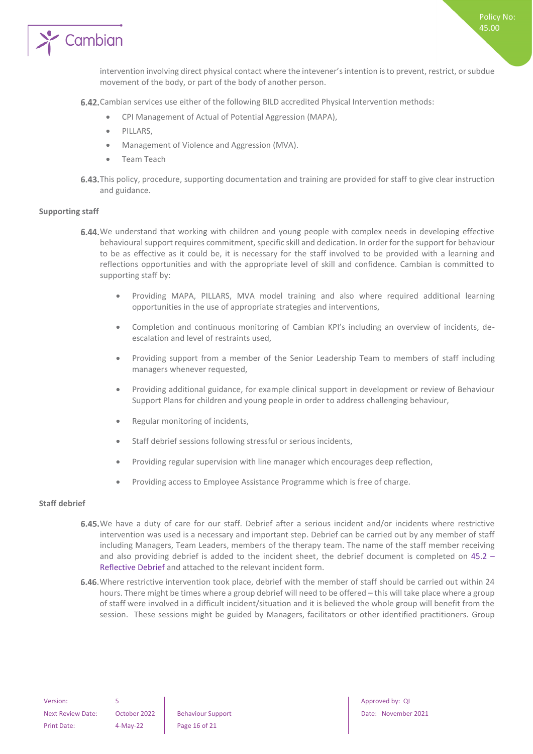

6.42. Cambian services use either of the following BILD accredited Physical Intervention methods:

- CPI Management of Actual of Potential Aggression (MAPA),
- PILLARS,
- Management of Violence and Aggression (MVA).
- Team Teach
- 6.43. This policy, procedure, supporting documentation and training are provided for staff to give clear instruction and guidance.

#### <span id="page-15-0"></span>**Supporting staff**

- 6.44. We understand that working with children and young people with complex needs in developing effective behavioural support requires commitment, specific skill and dedication. In order for the support for behaviour to be as effective as it could be, it is necessary for the staff involved to be provided with a learning and reflections opportunities and with the appropriate level of skill and confidence. Cambian is committed to supporting staff by:
	- Providing MAPA, PILLARS, MVA model training and also where required additional learning opportunities in the use of appropriate strategies and interventions,
	- Completion and continuous monitoring of Cambian KPI's including an overview of incidents, deescalation and level of restraints used,
	- Providing support from a member of the Senior Leadership Team to members of staff including managers whenever requested,
	- Providing additional guidance, for example clinical support in development or review of Behaviour Support Plans for children and young people in order to address challenging behaviour,
	- Regular monitoring of incidents,
	- Staff debrief sessions following stressful or serious incidents,
	- Providing regular supervision with line manager which encourages deep reflection,
	- Providing access to Employee Assistance Programme which is free of charge.

#### <span id="page-15-1"></span>**Staff debrief**

- 6.45. We have a duty of care for our staff. Debrief after a serious incident and/or incidents where restrictive intervention was used is a necessary and important step. Debrief can be carried out by any member of staff including Managers, Team Leaders, members of the therapy team. The name of the staff member receiving and also providing debrief is added to the incident sheet, the debrief document is completed on 45.2 – Reflective Debrief and attached to the relevant incident form.
- 6.46. Where restrictive intervention took place, debrief with the member of staff should be carried out within 24 hours. There might be times where a group debrief will need to be offered – this will take place where a group of staff were involved in a difficult incident/situation and it is believed the whole group will benefit from the session. These sessions might be guided by Managers, facilitators or other identified practitioners. Group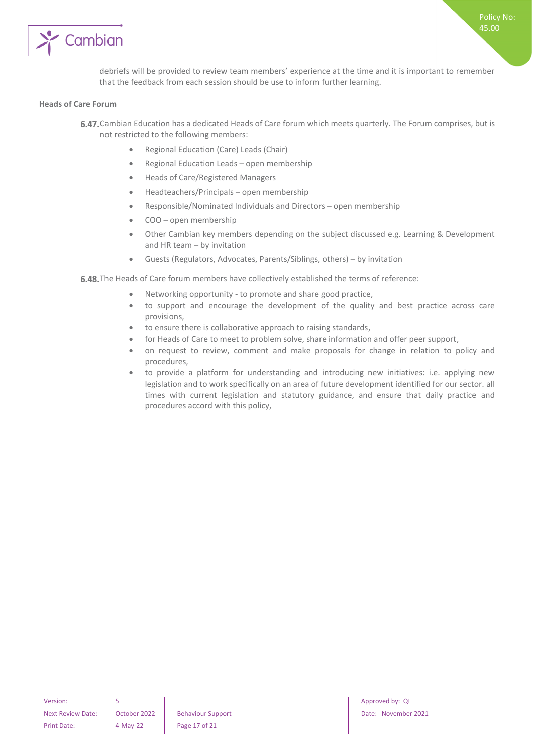

debriefs will be provided to review team members' experience at the time and it is important to remember that the feedback from each session should be use to inform further learning.

#### <span id="page-16-0"></span>**Heads of Care Forum**

- 6.47. Cambian Education has a dedicated Heads of Care forum which meets quarterly. The Forum comprises, but is not restricted to the following members:
	- Regional Education (Care) Leads (Chair)
	- Regional Education Leads open membership
	- Heads of Care/Registered Managers
	- Headteachers/Principals open membership
	- Responsible/Nominated Individuals and Directors open membership
	- COO open membership
	- Other Cambian key members depending on the subject discussed e.g. Learning & Development and HR team – by invitation
	- Guests (Regulators, Advocates, Parents/Siblings, others) by invitation

6.48. The Heads of Care forum members have collectively established the terms of reference:

- Networking opportunity to promote and share good practice,
- to support and encourage the development of the quality and best practice across care provisions,
- to ensure there is collaborative approach to raising standards,
- for Heads of Care to meet to problem solve, share information and offer peer support,
- on request to review, comment and make proposals for change in relation to policy and procedures,
- to provide a platform for understanding and introducing new initiatives: i.e. applying new legislation and to work specifically on an area of future development identified for our sector. all times with current legislation and statutory guidance, and ensure that daily practice and procedures accord with this policy,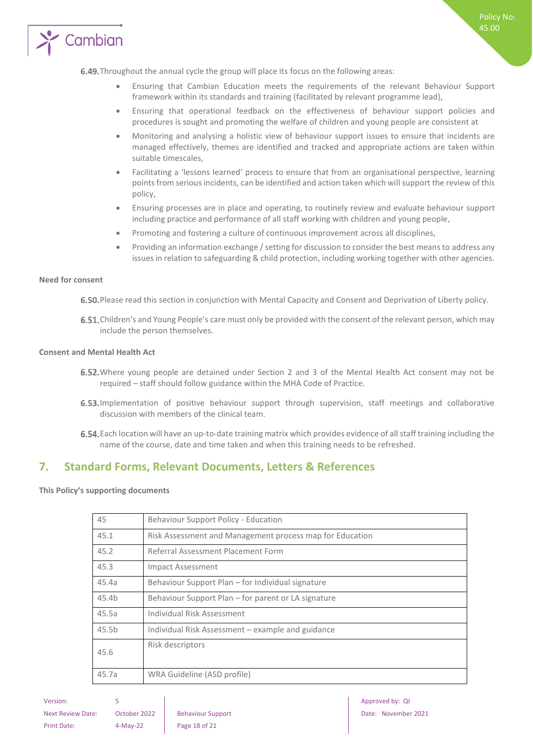

- Ensuring that Cambian Education meets the requirements of the relevant Behaviour Support framework within its standards and training (facilitated by relevant programme lead),
- Ensuring that operational feedback on the effectiveness of behaviour support policies and procedures is sought and promoting the welfare of children and young people are consistent at
- Monitoring and analysing a holistic view of behaviour support issues to ensure that incidents are managed effectively, themes are identified and tracked and appropriate actions are taken within suitable timescales,
- Facilitating a 'lessons learned' process to ensure that from an organisational perspective, learning points from serious incidents, can be identified and action taken which will support the review of this policy,
- Ensuring processes are in place and operating, to routinely review and evaluate behaviour support including practice and performance of all staff working with children and young people,
- Promoting and fostering a culture of continuous improvement across all disciplines,
- Providing an information exchange / setting for discussion to consider the best means to address any issues in relation to safeguarding & child protection, including working together with other agencies.

#### <span id="page-17-0"></span>**Need for consent**

6.50. Please read this section in conjunction with Mental Capacity and Consent and Deprivation of Liberty policy.

6.51. Children's and Young People's care must only be provided with the consent of the relevant person, which may include the person themselves.

#### <span id="page-17-1"></span>**Consent and Mental Health Act**

- 6.52. Where young people are detained under Section 2 and 3 of the Mental Health Act consent may not be required – staff should follow guidance within the MHA Code of Practice.
- 6.53. Implementation of positive behaviour support through supervision, staff meetings and collaborative discussion with members of the clinical team.
- Each location will have an up-to-date training matrix which provides evidence of all staff training including the name of the course, date and time taken and when this training needs to be refreshed.

## <span id="page-17-2"></span>**7. Standard Forms, Relevant Documents, Letters & References**

<span id="page-17-3"></span>**This Policy's supporting documents**

| 45    | Behaviour Support Policy - Education                     |
|-------|----------------------------------------------------------|
| 45.1  | Risk Assessment and Management process map for Education |
| 45.2  | Referral Assessment Placement Form                       |
| 45.3  | Impact Assessment                                        |
| 45.4a | Behaviour Support Plan – for Individual signature        |
| 45.4b | Behaviour Support Plan – for parent or LA signature      |
| 45.5a | Individual Risk Assessment                               |
| 45.5b | Individual Risk Assessment – example and guidance        |
| 45.6  | Risk descriptors                                         |
| 45.7a | WRA Guideline (ASD profile)                              |
|       |                                                          |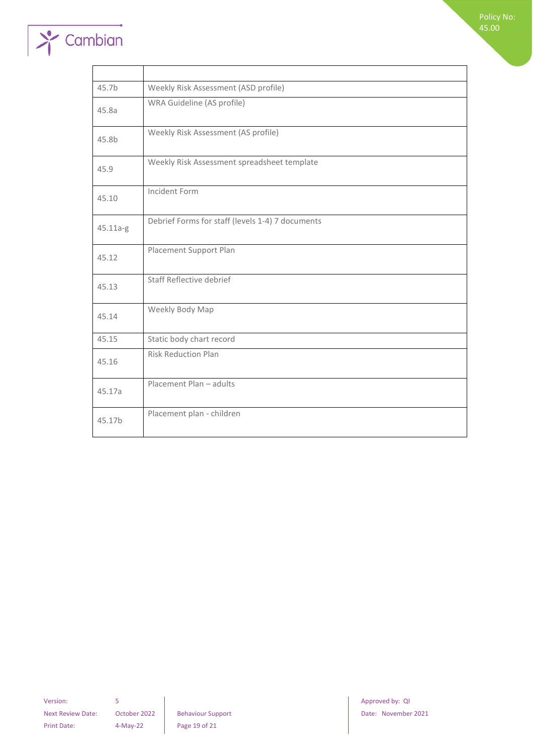

| 45.7b    | Weekly Risk Assessment (ASD profile)             |
|----------|--------------------------------------------------|
| 45.8a    | WRA Guideline (AS profile)                       |
| 45.8b    | Weekly Risk Assessment (AS profile)              |
| 45.9     | Weekly Risk Assessment spreadsheet template      |
| 45.10    | Incident Form                                    |
| 45.11a-g | Debrief Forms for staff (levels 1-4) 7 documents |
| 45.12    | Placement Support Plan                           |
| 45.13    | Staff Reflective debrief                         |
| 45.14    | Weekly Body Map                                  |
| 45.15    | Static body chart record                         |
| 45.16    | <b>Risk Reduction Plan</b>                       |
| 45.17a   | Placement Plan - adults                          |
| 45.17b   | Placement plan - children                        |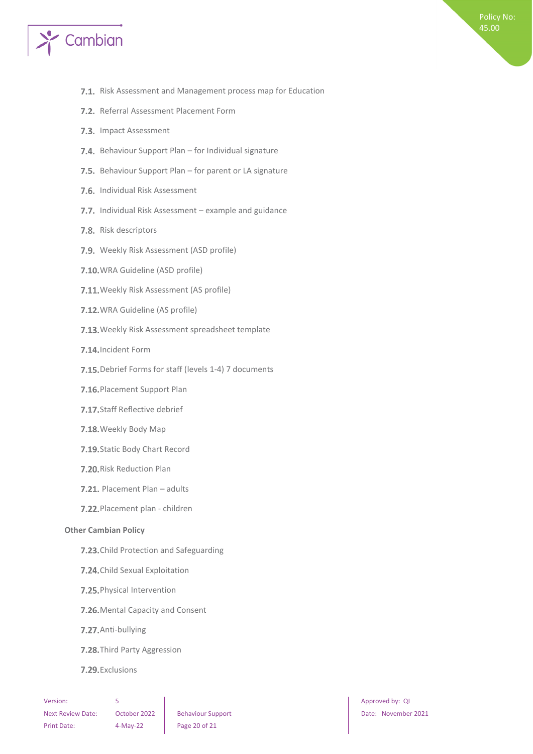

- 7.1. Risk Assessment and Management process map for Education
- 7.2. Referral Assessment Placement Form
- 7.3. Impact Assessment
- 7.4. Behaviour Support Plan for Individual signature
- 7.5. Behaviour Support Plan for parent or LA signature
- 7.6. Individual Risk Assessment
- 7.7. Individual Risk Assessment example and guidance
- 7.8. Risk descriptors
- 7.9. Weekly Risk Assessment (ASD profile)
- 7.10. WRA Guideline (ASD profile)
- 7.11. Weekly Risk Assessment (AS profile)
- 7.12. WRA Guideline (AS profile)
- 7.13. Weekly Risk Assessment spreadsheet template
- 7.14. Incident Form
- 7.15. Debrief Forms for staff (levels 1-4) 7 documents
- 7.16. Placement Support Plan
- 7.17. Staff Reflective debrief
- 7.18. Weekly Body Map
- 7.19. Static Body Chart Record
- 7.20. Risk Reduction Plan
- 7.21. Placement Plan adults
- 7.22. Placement plan children

#### <span id="page-19-0"></span>**Other Cambian Policy**

- 7.23. Child Protection and Safeguarding
- 7.24. Child Sexual Exploitation
- 7.25. Physical Intervention
- 7.26. Mental Capacity and Consent
- 7.27. Anti-bullying
- 7.28. Third Party Aggression
- 7.29. Exclusions